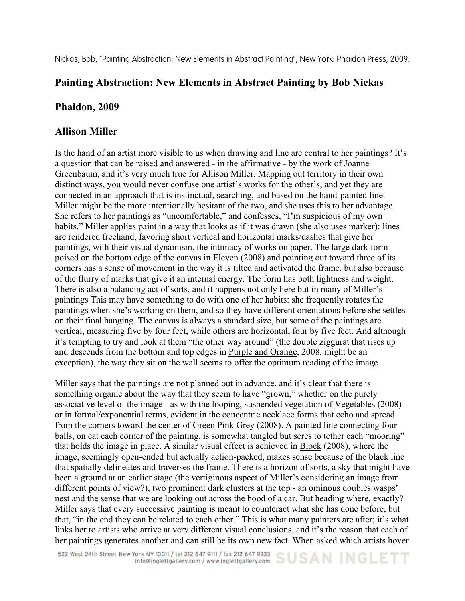Nickas, Bob, "Painting Abstraction: New Elements in Abstract Painting", New York: Phaidon Press, 2009.

## **Painting Abstraction: New Elements in Abstract Painting by Bob Nickas**

## **Phaidon, 2009**

## **Allison Miller**

Is the hand of an artist more visible to us when drawing and line are central to her paintings? It's a question that can be raised and answered - in the affirmative - by the work of Joanne Greenbaum, and it's very much true for Allison Miller. Mapping out territory in their own distinct ways, you would never confuse one artist's works for the other's, and yet they are connected in an approach that is instinctual, searching, and based on the hand-painted line. Miller might be the more intentionally hesitant of the two, and she uses this to her advantage. She refers to her paintings as "uncomfortable," and confesses, "I'm suspicious of my own habits." Miller applies paint in a way that looks as if it was drawn (she also uses marker): lines are rendered freehand, favoring short vertical and horizontal marks/dashes that give her paintings, with their visual dynamism, the intimacy of works on paper. The large dark form poised on the bottom edge of the canvas in Eleven (2008) and pointing out toward three of its corners has a sense of movement in the way it is tilted and activated the frame, but also because of the flurry of marks that give it an internal energy. The form has both lightness and weight. There is also a balancing act of sorts, and it happens not only here but in many of Miller's paintings This may have something to do with one of her habits: she frequently rotates the paintings when she's working on them, and so they have different orientations before she settles on their final hanging. The canvas is always a standard size, but some of the paintings are vertical, measuring five by four feet, while others are horizontal, four by five feet. And although it's tempting to try and look at them "the other way around" (the double ziggurat that rises up and descends from the bottom and top edges in Purple and Orange, 2008, might be an exception), the way they sit on the wall seems to offer the optimum reading of the image.

Miller says that the paintings are not planned out in advance, and it's clear that there is something organic about the way that they seem to have "grown," whether on the purely associative level of the image - as with the looping, suspended vegetation of Vegetables (2008) or in formal/exponential terms, evident in the concentric necklace forms that echo and spread from the corners toward the center of Green Pink Grey (2008). A painted line connecting four balls, on eat each corner of the painting, is somewhat tangled but seres to tether each "mooring" that holds the image in place. A similar visual effect is achieved in Block (2008), where the image, seemingly open-ended but actually action-packed, makes sense because of the black line that spatially delineates and traverses the frame. There is a horizon of sorts, a sky that might have been a ground at an earlier stage (the vertiginous aspect of Miller's considering an image from different points of view?), two prominent dark clusters at the top - an ominous doubles wasps' nest and the sense that we are looking out across the hood of a car. But heading where, exactly? Miller says that every successive painting is meant to counteract what she has done before, but that, "in the end they can be related to each other." This is what many painters are after; it's what links her to artists who arrive at very different visual conclusions, and it's the reason that each of her paintings generates another and can still be its own new fact. When asked which artists hover